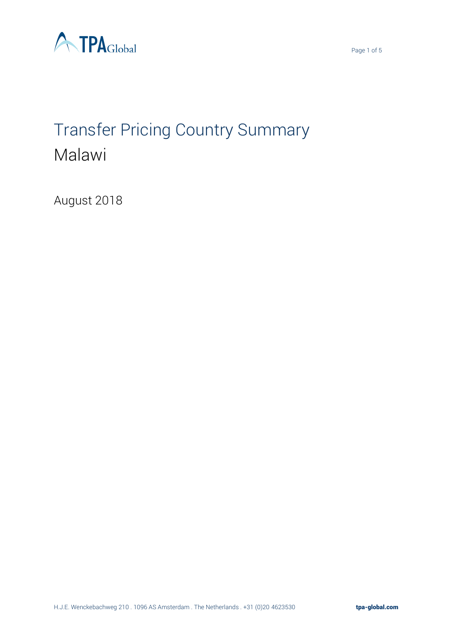



# Transfer Pricing Country Summary Malawi

August 2018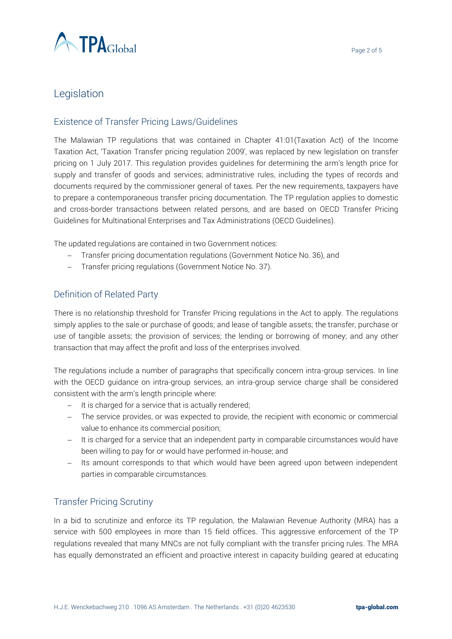

# **Legislation**

## Existence of Transfer Pricing Laws/Guidelines

The Malawian TP regulations that was contained in Chapter 41:01(Taxation Act) of the Income Taxation Act, 'Taxation Transfer pricing regulation 2009', was replaced by new legislation on transfer pricing on 1 July 2017. This regulation provides guidelines for determining the arm's length price for supply and transfer of goods and services; administrative rules, including the types of records and documents required by the commissioner general of taxes. Per the new requirements, taxpayers have to prepare a contemporaneous transfer pricing documentation. The TP regulation applies to domestic and cross-border transactions between related persons, and are based on OECD Transfer Pricing Guidelines for Multinational Enterprises and Tax Administrations (OECD Guidelines).

The updated regulations are contained in two Government notices:

- − Transfer pricing documentation regulations (Government Notice No. 36), and
- − Transfer pricing regulations (Government Notice No. 37).

## Definition of Related Party

There is no relationship threshold for Transfer Pricing regulations in the Act to apply. The regulations simply applies to the sale or purchase of goods; and lease of tangible assets; the transfer, purchase or use of tangible assets; the provision of services; the lending or borrowing of money; and any other transaction that may affect the profit and loss of the enterprises involved.

The regulations include a number of paragraphs that specifically concern intra-group services. In line with the OECD guidance on intra-group services, an intra-group service charge shall be considered consistent with the arm's length principle where:

- − It is charged for a service that is actually rendered;
- − The service provides, or was expected to provide, the recipient with economic or commercial value to enhance its commercial position;
- − It is charged for a service that an independent party in comparable circumstances would have been willing to pay for or would have performed in-house; and
- − Its amount corresponds to that which would have been agreed upon between independent parties in comparable circumstances.

## Transfer Pricing Scrutiny

In a bid to scrutinize and enforce its TP regulation, the Malawian Revenue Authority (MRA) has a service with 500 employees in more than 15 field offices. This aggressive enforcement of the TP regulations revealed that many MNCs are not fully compliant with the transfer pricing rules. The MRA has equally demonstrated an efficient and proactive interest in capacity building geared at educating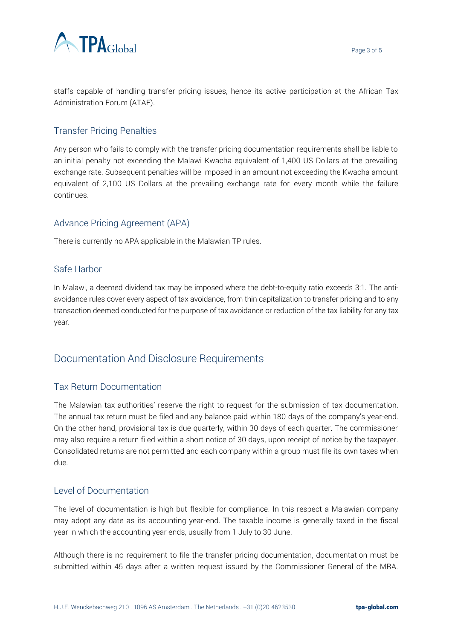

staffs capable of handling transfer pricing issues, hence its active participation at the African Tax Administration Forum (ATAF).

### Transfer Pricing Penalties

Any person who fails to comply with the transfer pricing documentation requirements shall be liable to an initial penalty not exceeding the Malawi Kwacha equivalent of 1,400 US Dollars at the prevailing exchange rate. Subsequent penalties will be imposed in an amount not exceeding the Kwacha amount equivalent of 2,100 US Dollars at the prevailing exchange rate for every month while the failure continues.

#### Advance Pricing Agreement (APA)

There is currently no APA applicable in the Malawian TP rules.

#### Safe Harbor

In Malawi, a deemed dividend tax may be imposed where the debt-to-equity ratio exceeds 3:1. The antiavoidance rules cover every aspect of tax avoidance, from thin capitalization to transfer pricing and to any transaction deemed conducted for the purpose of tax avoidance or reduction of the tax liability for any tax year.

# Documentation And Disclosure Requirements

#### Tax Return Documentation

The Malawian tax authorities' reserve the right to request for the submission of tax documentation. The annual tax return must be filed and any balance paid within 180 days of the company's year-end. On the other hand, provisional tax is due quarterly, within 30 days of each quarter. The commissioner may also require a return filed within a short notice of 30 days, upon receipt of notice by the taxpayer. Consolidated returns are not permitted and each company within a group must file its own taxes when due.

#### Level of Documentation

The level of documentation is high but flexible for compliance. In this respect a Malawian company may adopt any date as its accounting year-end. The taxable income is generally taxed in the fiscal year in which the accounting year ends, usually from 1 July to 30 June.

Although there is no requirement to file the transfer pricing documentation, documentation must be submitted within 45 days after a written request issued by the Commissioner General of the MRA.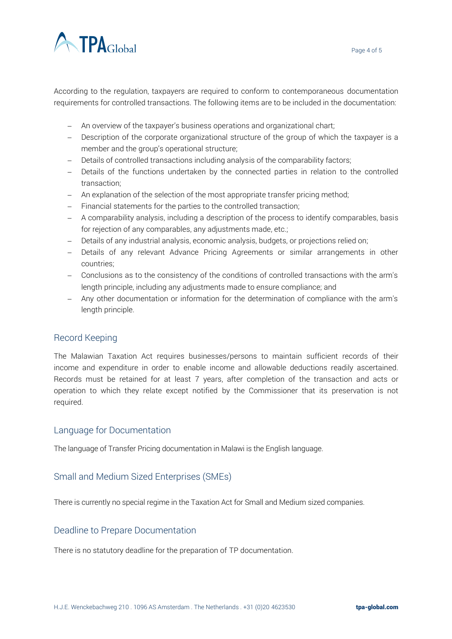

According to the regulation, taxpayers are required to conform to contemporaneous documentation requirements for controlled transactions. The following items are to be included in the documentation:

- − An overview of the taxpayer's business operations and organizational chart;
- − Description of the corporate organizational structure of the group of which the taxpayer is a member and the group's operational structure;
- − Details of controlled transactions including analysis of the comparability factors;
- − Details of the functions undertaken by the connected parties in relation to the controlled transaction;
- − An explanation of the selection of the most appropriate transfer pricing method;
- − Financial statements for the parties to the controlled transaction;
- − A comparability analysis, including a description of the process to identify comparables, basis for rejection of any comparables, any adjustments made, etc.;
- − Details of any industrial analysis, economic analysis, budgets, or projections relied on;
- − Details of any relevant Advance Pricing Agreements or similar arrangements in other countries;
- − Conclusions as to the consistency of the conditions of controlled transactions with the arm's length principle, including any adjustments made to ensure compliance; and
- − Any other documentation or information for the determination of compliance with the arm's length principle.

#### Record Keeping

The Malawian Taxation Act requires businesses/persons to maintain sufficient records of their income and expenditure in order to enable income and allowable deductions readily ascertained. Records must be retained for at least 7 years, after completion of the transaction and acts or operation to which they relate except notified by the Commissioner that its preservation is not required.

#### Language for Documentation

The language of Transfer Pricing documentation in Malawi is the English language.

#### Small and Medium Sized Enterprises (SMEs)

There is currently no special regime in the Taxation Act for Small and Medium sized companies.

#### Deadline to Prepare Documentation

There is no statutory deadline for the preparation of TP documentation.